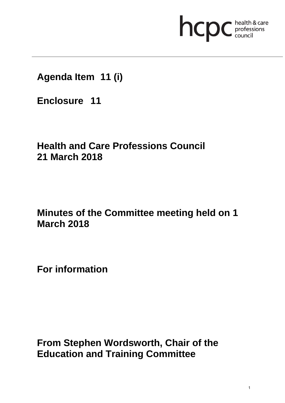# hcpc health & care

# **Agenda Item 11 (i)**

**Enclosure 11**

# **Health and Care Professions Council 21 March 2018**

# **Minutes of the Committee meeting held on 1 March 2018**

**For information** 

**From Stephen Wordsworth, Chair of the Education and Training Committee**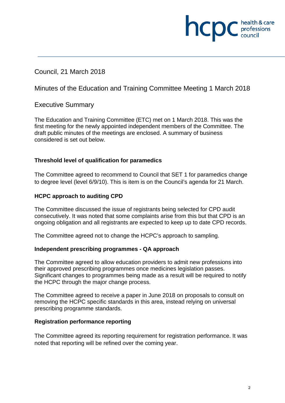## Council, 21 March 2018

### Minutes of the Education and Training Committee Meeting 1 March 2018

#### Executive Summary

The Education and Training Committee (ETC) met on 1 March 2018. This was the first meeting for the newly appointed independent members of the Committee. The draft public minutes of the meetings are enclosed. A summary of business considered is set out below.

#### **Threshold level of qualification for paramedics**

The Committee agreed to recommend to Council that SET 1 for paramedics change to degree level (level 6/9/10). This is item is on the Council's agenda for 21 March.

#### **HCPC approach to auditing CPD**

The Committee discussed the issue of registrants being selected for CPD audit consecutively. It was noted that some complaints arise from this but that CPD is an ongoing obligation and all registrants are expected to keep up to date CPD records.

The Committee agreed not to change the HCPC's approach to sampling.

#### **Independent prescribing programmes - QA approach**

The Committee agreed to allow education providers to admit new professions into their approved prescribing programmes once medicines legislation passes. Significant changes to programmes being made as a result will be required to notify the HCPC through the major change process.

The Committee agreed to receive a paper in June 2018 on proposals to consult on removing the HCPC specific standards in this area, instead relying on universal prescribing programme standards.

#### **Registration performance reporting**

The Committee agreed its reporting requirement for registration performance. It was noted that reporting will be refined over the coming year.

health & care

**INCDC** *professions*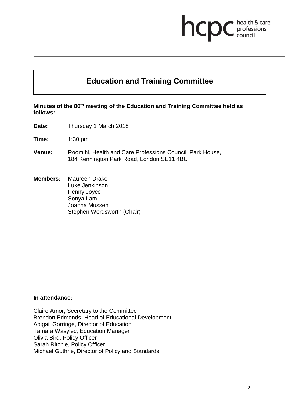# **ncpc** health & care

## **Education and Training Committee**

#### **Minutes of the 80th meeting of the Education and Training Committee held as follows:**

**Date:** Thursday 1 March 2018

**Time:** 1:30 pm

- **Venue:** Room N, Health and Care Professions Council, Park House, 184 Kennington Park Road, London SE11 4BU
- **Members:** Maureen Drake Luke Jenkinson Penny Joyce Sonya Lam Joanna Mussen Stephen Wordsworth (Chair)

#### **In attendance:**

Claire Amor, Secretary to the Committee Brendon Edmonds, Head of Educational Development Abigail Gorringe, Director of Education Tamara Wasylec, Education Manager Olivia Bird, Policy Officer Sarah Ritchie, Policy Officer Michael Guthrie, Director of Policy and Standards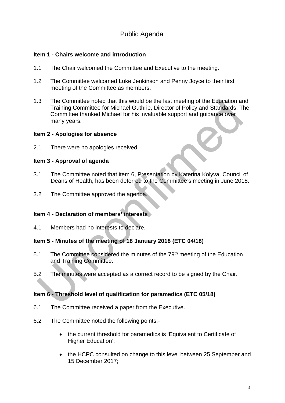## Public Agenda

#### **Item 1 - Chairs welcome and introduction**

- 1.1 The Chair welcomed the Committee and Executive to the meeting.
- 1.2 The Committee welcomed Luke Jenkinson and Penny Joyce to their first meeting of the Committee as members.
- 1.3 The Committee noted that this would be the last meeting of the Education and Training Committee for Michael Guthrie, Director of Policy and Standards. The Committee thanked Michael for his invaluable support and guidance over many years.

#### **Item 2 - Apologies for absence**

2.1 There were no apologies received.

#### **Item 3 - Approval of agenda**

- 3.1 The Committee noted that item 6, Presentation by Katerina Kolyva, Council of Deans of Health, has been deferred to the Committee's meeting in June 2018.
- 3.2 The Committee approved the agenda.

#### **Item 4 - Declaration of members' interests**

4.1 Members had no interests to declare.

#### **Item 5 - Minutes of the meeting of 18 January 2018 (ETC 04/18)**

- 5.1 The Committee considered the minutes of the 79<sup>th</sup> meeting of the Education and Training Committee.
- 5.2 The minutes were accepted as a correct record to be signed by the Chair.

#### **Item 6 - Threshold level of qualification for paramedics (ETC 05/18)**

- 6.1 The Committee received a paper from the Executive.
- 6.2 The Committee noted the following points:-
	- the current threshold for paramedics is 'Equivalent to Certificate of Higher Education';
	- the HCPC consulted on change to this level between 25 September and 15 December 2017;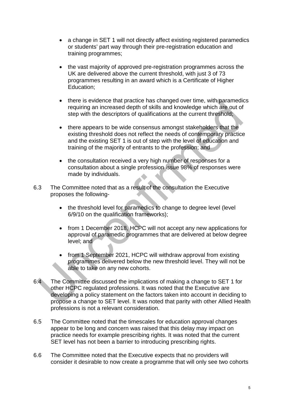- a change in SET 1 will not directly affect existing registered paramedics or students' part way through their pre-registration education and training programmes;
- the vast majority of approved pre-registration programmes across the UK are delivered above the current threshold, with just 3 of 73 programmes resulting in an award which is a Certificate of Higher Education;
- there is evidence that practice has changed over time, with paramedics requiring an increased depth of skills and knowledge which are out of step with the descriptors of qualifications at the current threshold;
- there appears to be wide consensus amongst stakeholders that the existing threshold does not reflect the needs of contemporary practice and the existing SET 1 is out of step with the level of education and training of the majority of entrants to the profession; and
- the consultation received a very high number of responses for a consultation about a single profession issue 98% of responses were made by individuals.
- 6.3 The Committee noted that as a result of the consultation the Executive proposes the following-
	- the threshold level for paramedics to change to degree level (level 6/9/10 on the qualification frameworks);
	- from 1 December 2018, HCPC will not accept any new applications for approval of paramedic programmes that are delivered at below degree level; and
	- from 1 September 2021, HCPC will withdraw approval from existing programmes delivered below the new threshold level. They will not be able to take on any new cohorts.
- 6.4 The Committee discussed the implications of making a change to SET 1 for other HCPC regulated professions. It was noted that the Executive are developing a policy statement on the factors taken into account in deciding to propose a change to SET level. It was noted that parity with other Allied Health professions is not a relevant consideration.
- 6.5 The Committee noted that the timescales for education approval changes appear to be long and concern was raised that this delay may impact on practice needs for example prescribing rights. It was noted that the current SET level has not been a barrier to introducing prescribing rights.
- 6.6 The Committee noted that the Executive expects that no providers will consider it desirable to now create a programme that will only see two cohorts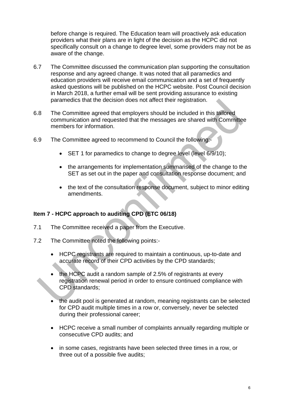before change is required. The Education team will proactively ask education providers what their plans are in light of the decision as the HCPC did not specifically consult on a change to degree level, some providers may not be as aware of the change.

- 6.7 The Committee discussed the communication plan supporting the consultation response and any agreed change. It was noted that all paramedics and education providers will receive email communication and a set of frequently asked questions will be published on the HCPC website. Post Council decision in March 2018, a further email will be sent providing assurance to existing paramedics that the decision does not affect their registration.
- 6.8 The Committee agreed that employers should be included in this tailored communication and requested that the messages are shared with Committee members for information.
- 6.9 The Committee agreed to recommend to Council the following:-
	- SET 1 for paramedics to change to degree level (level 6/9/10);
	- the arrangements for implementation summarised of the change to the SET as set out in the paper and consultation response document; and
	- the text of the consultation response document, subject to minor editing amendments.

#### **Item 7 - HCPC approach to auditing CPD (ETC 06/18)**

- 7.1 The Committee received a paper from the Executive.
- 7.2 The Committee noted the following points:-
	- HCPC registrants are required to maintain a continuous, up-to-date and accurate record of their CPD activities by the CPD standards;
	- the HCPC audit a random sample of 2.5% of registrants at every registration renewal period in order to ensure continued compliance with CPD standards;
	- the audit pool is generated at random, meaning registrants can be selected for CPD audit multiple times in a row or, conversely, never be selected during their professional career;
	- HCPC receive a small number of complaints annually regarding multiple or consecutive CPD audits; and
	- in some cases, registrants have been selected three times in a row, or three out of a possible five audits;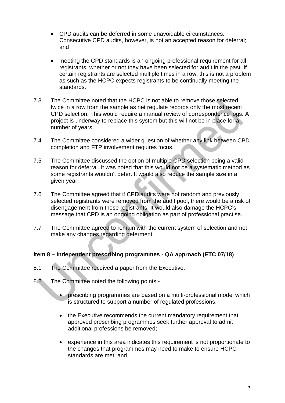- CPD audits can be deferred in some unavoidable circumstances. Consecutive CPD audits, however, is not an accepted reason for deferral; and
- meeting the CPD standards is an ongoing professional requirement for all registrants, whether or not they have been selected for audit in the past. If certain registrants are selected multiple times in a row, this is not a problem as such as the HCPC expects registrants to be continually meeting the standards.
- 7.3 The Committee noted that the HCPC is not able to remove those selected twice in a row from the sample as net regulate records only the most recent CPD selection. This would require a manual review of correspondence logs. A project is underway to replace this system but this will not be in place for a number of years.
- 7.4 The Committee considered a wider question of whether any link between CPD completion and FTP involvement requires focus.
- 7.5 The Committee discussed the option of multiple CPD selection being a valid reason for deferral. It was noted that this would not be a systematic method as some registrants wouldn't defer. It would also reduce the sample size in a given year.
- 7.6 The Committee agreed that if CPD audits were not random and previously selected registrants were removed from the audit pool, there would be a risk of disengagement from these registrants. It would also damage the HCPC's message that CPD is an ongoing obligation as part of professional practise.
- 7.7 The Committee agreed to remain with the current system of selection and not make any changes regarding deferment.

#### **Item 8 – Independent prescribing programmes - QA approach (ETC 07/18)**

- 8.1 The Committee received a paper from the Executive.
- 8.2 The Committee noted the following points:-
	- prescribing programmes are based on a multi-professional model which is structured to support a number of regulated professions;
	- the Executive recommends the current mandatory requirement that approved prescribing programmes seek further approval to admit additional professions be removed;
	- experience in this area indicates this requirement is not proportionate to the changes that programmes may need to make to ensure HCPC standards are met; and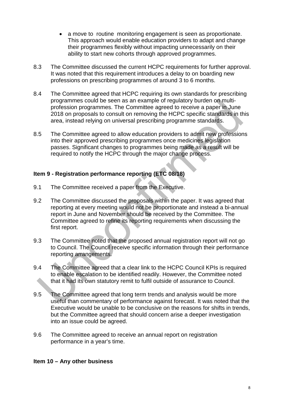- a move to routine monitoring engagement is seen as proportionate. This approach would enable education providers to adapt and change their programmes flexibly without impacting unnecessarily on their ability to start new cohorts through approved programmes.
- 8.3 The Committee discussed the current HCPC requirements for further approval. It was noted that this requirement introduces a delay to on boarding new professions on prescribing programmes of around 3 to 6 months.
- 8.4 The Committee agreed that HCPC requiring its own standards for prescribing programmes could be seen as an example of regulatory burden on multiprofession programmes. The Committee agreed to receive a paper in June 2018 on proposals to consult on removing the HCPC specific standards in this area, instead relying on universal prescribing programme standards.
- 8.5 The Committee agreed to allow education providers to admit new professions into their approved prescribing programmes once medicines legislation passes. Significant changes to programmes being made as a result will be required to notify the HCPC through the major change process.

#### **Item 9 - Registration performance reporting (ETC 08/18)**

- 9.1 The Committee received a paper from the Executive.
- 9.2 The Committee discussed the proposals within the paper. It was agreed that reporting at every meeting would not be proportionate and instead a bi-annual report in June and November should be received by the Committee. The Committee agreed to refine its reporting requirements when discussing the first report.
- 9.3 The Committee noted that the proposed annual registration report will not go to Council. The Council receive specific information through their performance reporting arrangements.
- 9.4 The Committee agreed that a clear link to the HCPC Council KPIs is required to enable escalation to be identified readily. However, the Committee noted that it had its own statutory remit to fulfil outside of assurance to Council.
- 9.5 The Committee agreed that long term trends and analysis would be more useful than commentary of performance against forecast. It was noted that the Executive would be unable to be conclusive on the reasons for shifts in trends, but the Committee agreed that should concern arise a deeper investigation into an issue could be agreed.
- 9.6 The Committee agreed to receive an annual report on registration performance in a year's time.

#### **Item 10 – Any other business**